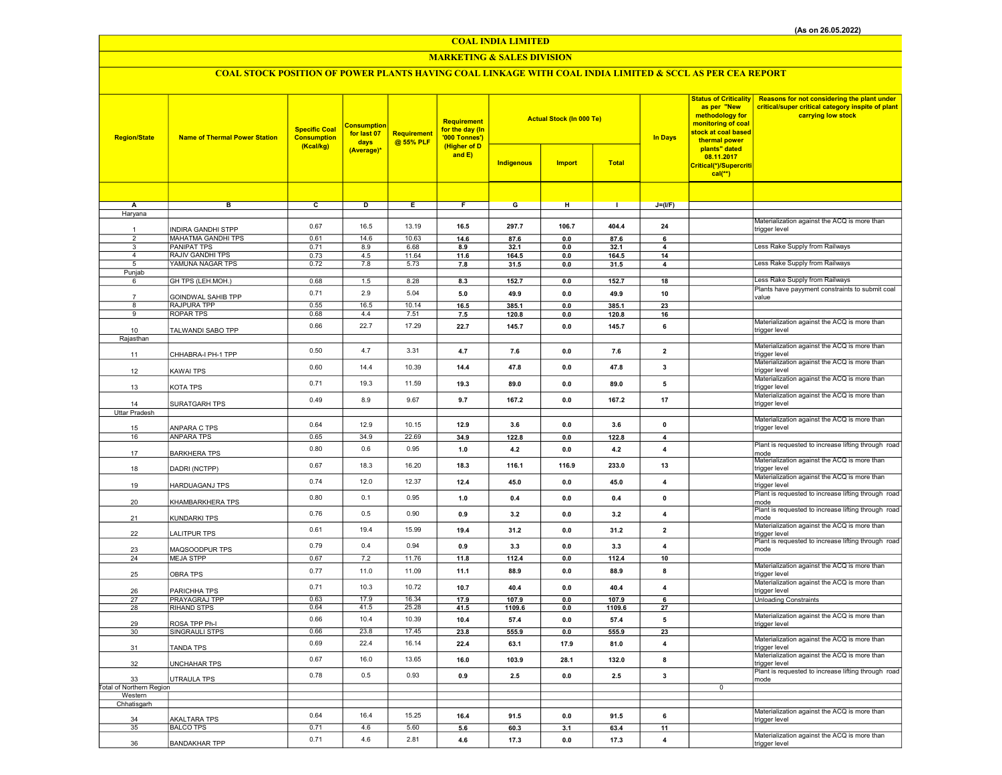## MARKETING & SALES DIVISION

# COAL STOCK POSITION OF POWER PLANTS HAVING COAL LINKAGE WITH COAL INDIA LIMITED & SCCL AS PER CEA REPORT

| <b>Region/State</b>                       | <b>Name of Thermal Power Station</b>     | <b>Specific Coal</b><br><b>Consumption</b><br>(Kcal/kg) | <b>Consumption</b><br>for last 07<br>days<br>(Average)* | Requirement<br>@ 55% PLF | <b>Requirement</b><br>for the day (In<br>'000 Tonnes')<br>(Higher of D<br>and $E$ ) |                   | <b>Actual Stock (In 000 Te)</b> |                 | <b>In Days</b>          | <b>Status of Criticality</b><br>as per "New<br>methodology for<br>monitoring of coal<br>stock at coal based<br>thermal power<br>plants" dated | Reasons for not considering the plant under<br>critical/super critical category inspite of plant<br>carrying low stock |
|-------------------------------------------|------------------------------------------|---------------------------------------------------------|---------------------------------------------------------|--------------------------|-------------------------------------------------------------------------------------|-------------------|---------------------------------|-----------------|-------------------------|-----------------------------------------------------------------------------------------------------------------------------------------------|------------------------------------------------------------------------------------------------------------------------|
|                                           |                                          |                                                         |                                                         |                          |                                                                                     | <b>Indigenous</b> | <b>Import</b>                   | <b>Total</b>    |                         | 08.11.2017<br>Critical(*)/Supercriti<br>$cal(**)$                                                                                             |                                                                                                                        |
|                                           |                                          |                                                         |                                                         |                          |                                                                                     |                   |                                 |                 |                         |                                                                                                                                               |                                                                                                                        |
| Α                                         | $\overline{B}$                           | $\overline{\mathbf{c}}$                                 | $\overline{D}$                                          | Έ                        | $\overline{\mathbf{r}}$                                                             | $\overline{G}$    | H                               | $\overline{1}$  | $J=(I/F)$               |                                                                                                                                               |                                                                                                                        |
| Haryana                                   |                                          |                                                         |                                                         |                          |                                                                                     |                   |                                 |                 |                         |                                                                                                                                               | Materialization against the ACQ is more than                                                                           |
|                                           | INDIRA GANDHI STPP                       | 0.67                                                    | 16.5                                                    | 13.19                    | 16.5                                                                                | 297.7             | 106.7                           | 404.4           | 24                      |                                                                                                                                               | trigger level                                                                                                          |
| $\overline{2}$<br>$\overline{\mathbf{3}}$ | MAHATMA GANDHI TPS<br><b>PANIPAT TPS</b> | 0.61<br>0.71                                            | 14.6<br>8.9                                             | 10.63<br>6.68            | 14.6<br>8.9                                                                         | 87.6<br>32.1      | 0.0<br>0.0                      | 87.6<br>32.1    | 6<br>$\overline{4}$     |                                                                                                                                               | Less Rake Supply from Railways                                                                                         |
| $\overline{4}$                            | <b>RAJIV GANDHI TPS</b>                  | 0.73                                                    | 4.5                                                     | 11.64                    | 11.6                                                                                | 164.5             | 0.0                             | 164.5           | 14                      |                                                                                                                                               |                                                                                                                        |
| 5<br>Punjab                               | YAMUNA NAGAR TPS                         | 0.72                                                    | 7.8                                                     | 5.73                     | 7.8                                                                                 | 31.5              | 0.0                             | 31.5            | 4                       |                                                                                                                                               | Less Rake Supply from Railways                                                                                         |
| 6                                         | GH TPS (LEH.MOH.)                        | 0.68                                                    | 1.5                                                     | 8.28                     | 8.3                                                                                 | 152.7             | 0.0                             | 152.7           | 18                      |                                                                                                                                               | Less Rake Supply from Railways                                                                                         |
|                                           |                                          | 0.71                                                    | 2.9                                                     | 5.04                     | $5.0\,$                                                                             | 49.9              | 0.0                             | 49.9            | 10                      |                                                                                                                                               | Plants have payyment constraints to submit coal                                                                        |
| $\overline{7}$<br>$\mathbf{R}$            | GOINDWAL SAHIB TPP<br>RAJPURA TPP        | 0.55                                                    | 16.5                                                    | 10.14                    | 16.5                                                                                | 385.1             | $\mathbf{0.0}$                  | 385.1           | 23                      |                                                                                                                                               | value                                                                                                                  |
| $_{9}$                                    | <b>ROPAR TPS</b>                         | 0.68                                                    | 4.4                                                     | 7.51                     | 7.5                                                                                 | 120.8             | $\mathbf{0.0}$                  | 120.8           | 16                      |                                                                                                                                               |                                                                                                                        |
| 10                                        | TALWANDI SABO TPP                        | 0.66                                                    | 22.7                                                    | 17.29                    | 22.7                                                                                | 145.7             | 0.0                             | 145.7           | 6                       |                                                                                                                                               | Materialization against the ACQ is more than<br>trigger level                                                          |
| Rajasthan                                 |                                          |                                                         |                                                         |                          |                                                                                     |                   |                                 |                 |                         |                                                                                                                                               |                                                                                                                        |
| 11                                        | CHHABRA-I PH-1 TPP                       | 0.50                                                    | 4.7                                                     | 3.31                     | 4.7                                                                                 | 7.6               | 0.0                             | 7.6             | $\overline{2}$          |                                                                                                                                               | Materialization against the ACQ is more than<br>trigger level                                                          |
|                                           |                                          |                                                         |                                                         | 10.39                    |                                                                                     |                   |                                 |                 |                         |                                                                                                                                               | Materialization against the ACQ is more than                                                                           |
| 12                                        | KAWAI TPS                                | 0.60                                                    | 14.4                                                    |                          | 14.4                                                                                | 47.8              | 0.0                             | 47.8            | 3                       |                                                                                                                                               | trigger level<br>Materialization against the ACQ is more than                                                          |
| 13                                        | KOTA TPS                                 | 0.71                                                    | 19.3                                                    | 11.59                    | 19.3                                                                                | 89.0              | 0.0                             | 89.0            | 5                       |                                                                                                                                               | trigger level                                                                                                          |
| 14                                        |                                          | 0.49                                                    | 8.9                                                     | 9.67                     | 9.7                                                                                 | 167.2             | 0.0                             | 167.2           | 17                      |                                                                                                                                               | Materialization against the ACQ is more than                                                                           |
| <b>Uttar Pradesh</b>                      | SURATGARH TPS                            |                                                         |                                                         |                          |                                                                                     |                   |                                 |                 |                         |                                                                                                                                               | trigger level                                                                                                          |
|                                           |                                          | 0.64                                                    | 12.9                                                    | 10.15                    | 12.9                                                                                | 3.6               | 0.0                             | 3.6             | $\mathbf 0$             |                                                                                                                                               | Materialization against the ACQ is more than                                                                           |
| 15<br>16                                  | ANPARA C TPS<br><b>ANPARA TPS</b>        | 0.65                                                    | 34.9                                                    | 22.69                    | 34.9                                                                                | 122.8             | 0.0                             | 122.8           | $\boldsymbol{4}$        |                                                                                                                                               | trigger level                                                                                                          |
|                                           |                                          | 0.80                                                    | 0.6                                                     | 0.95                     | 1.0                                                                                 | 4.2               | 0.0                             | 4.2             | $\overline{4}$          |                                                                                                                                               | Plant is requested to increase lifting through road                                                                    |
| 17                                        | <b>BARKHERA TPS</b>                      |                                                         |                                                         |                          |                                                                                     |                   |                                 |                 |                         |                                                                                                                                               | mode<br>Materialization against the ACQ is more than                                                                   |
| 18                                        | DADRI (NCTPP)                            | 0.67                                                    | 18.3                                                    | 16.20                    | 18.3                                                                                | 116.1             | 116.9                           | 233.0           | 13                      |                                                                                                                                               | trigger level                                                                                                          |
| 19                                        | HARDUAGANJ TPS                           | 0.74                                                    | 12.0                                                    | 12.37                    | 12.4                                                                                | 45.0              | 0.0                             | 45.0            | $\overline{4}$          |                                                                                                                                               | Materialization against the ACQ is more than<br>trigger level                                                          |
|                                           |                                          | 0.80                                                    | 0.1                                                     | 0.95                     | 1.0                                                                                 | 0.4               | $0.0\,$                         | 0.4             | $\pmb{\mathsf{o}}$      |                                                                                                                                               | Plant is requested to increase lifting through road                                                                    |
| 20                                        | KHAMBARKHERA TPS                         |                                                         |                                                         |                          |                                                                                     |                   |                                 |                 |                         |                                                                                                                                               | mode<br>Plant is requested to increase lifting through road                                                            |
| 21                                        | <b>KUNDARKI TPS</b>                      | 0.76                                                    | 0.5                                                     | 0.90                     | 0.9                                                                                 | 3.2               | 0.0                             | 3.2             | $\overline{4}$          |                                                                                                                                               | mode                                                                                                                   |
| 22                                        | LALITPUR TPS                             | 0.61                                                    | 19.4                                                    | 15.99                    | 19.4                                                                                | 31.2              | 0.0                             | 31.2            | $\overline{\mathbf{2}}$ |                                                                                                                                               | Materialization against the ACQ is more than<br>trigger level                                                          |
|                                           |                                          | 0.79                                                    | 0.4                                                     | 0.94                     | 0.9                                                                                 | 3.3               | 0.0                             | 3.3             | $\overline{\mathbf{4}}$ |                                                                                                                                               | Plant is requested to increase lifting through road                                                                    |
| 23<br>24                                  | MAQSOODPUR TPS<br><b>MEJA STPP</b>       | 0.67                                                    | 7.2                                                     | 11.76                    | 11.8                                                                                | 112.4             | 0.0                             | 112.4           | 10                      |                                                                                                                                               | mode                                                                                                                   |
|                                           |                                          | 0.77                                                    | 11.0                                                    | 11.09                    | 11.1                                                                                | 88.9              | 0.0                             | 88.9            | 8                       |                                                                                                                                               | Materialization against the ACQ is more than                                                                           |
| 25                                        | OBRA TPS                                 |                                                         |                                                         |                          |                                                                                     |                   |                                 |                 |                         |                                                                                                                                               | trigger level<br>Materialization against the ACQ is more than                                                          |
| 26                                        | PARICHHA TPS                             | 0.71                                                    | 10.3                                                    | 10.72                    | 10.7                                                                                | 40.4              | 0.0                             | 40.4            | $\boldsymbol{4}$        |                                                                                                                                               | trigger level                                                                                                          |
| 27<br>28                                  | PRAYAGRAJ TPP<br>RIHAND STPS             | 0.63<br>0.64                                            | 17.9<br>41.5                                            | 16.34<br>25.28           | 17.9<br>41.5                                                                        | 107.9<br>1109.6   | 0.0<br>0.0                      | 107.9<br>1109.6 | 6<br>27                 |                                                                                                                                               | <b>Unloading Constraints</b>                                                                                           |
|                                           |                                          | 0.66                                                    | 10.4                                                    | 10.39                    | 10.4                                                                                | 57.4              | 0.0                             | 57.4            | 5                       |                                                                                                                                               | Materialization against the ACQ is more than                                                                           |
| 29                                        | ROSA TPP Ph-I                            | 0.66                                                    | 23.8                                                    | 17.45                    | 23.8                                                                                |                   | 0.0                             |                 | 23                      |                                                                                                                                               | trigger level                                                                                                          |
| 30                                        | SINGRAULI STPS                           |                                                         |                                                         |                          |                                                                                     | 555.9             |                                 | 555.9           |                         |                                                                                                                                               | Materialization against the ACQ is more than                                                                           |
| 31                                        | TANDA TPS                                | 0.69                                                    | 22.4                                                    | 16.14                    | 22.4                                                                                | 63.1              | 17.9                            | 81.0            | $\overline{\mathbf{4}}$ |                                                                                                                                               | trigger level                                                                                                          |
| 32                                        | UNCHAHAR TPS                             | 0.67                                                    | 16.0                                                    | 13.65                    | 16.0                                                                                | 103.9             | 28.1                            | 132.0           | 8                       |                                                                                                                                               | Materialization against the ACQ is more than<br>trigger level                                                          |
|                                           |                                          | 0.78                                                    | 0.5                                                     | 0.93                     | 0.9                                                                                 | 2.5               | 0.0                             | 2.5             | $\mathbf{3}$            |                                                                                                                                               | Plant is requested to increase lifting through road                                                                    |
| 33<br><b>Total of Northern Region</b>     | UTRAULA TPS                              |                                                         |                                                         |                          |                                                                                     |                   |                                 |                 |                         | $\overline{0}$                                                                                                                                | mode                                                                                                                   |
| Western                                   |                                          |                                                         |                                                         |                          |                                                                                     |                   |                                 |                 |                         |                                                                                                                                               |                                                                                                                        |
| Chhatisgarh                               |                                          |                                                         |                                                         |                          |                                                                                     |                   |                                 |                 |                         |                                                                                                                                               | Materialization against the ACQ is more than                                                                           |
| 34                                        | <b>AKALTARA TPS</b>                      | 0.64                                                    | 16.4                                                    | 15.25                    | 16.4                                                                                | 91.5              | 0.0                             | 91.5            | 6                       |                                                                                                                                               | trigger level                                                                                                          |
| 35                                        | <b>BALCO TPS</b>                         | 0.71                                                    | 4.6                                                     | 5.60                     | 5.6                                                                                 | 60.3              | 3.1                             | 63.4            | 11                      |                                                                                                                                               | Materialization against the ACQ is more than                                                                           |
| 36                                        | <b>BANDAKHAR TPP</b>                     | 0.71                                                    | 4.6                                                     | 2.81                     | 4.6                                                                                 | 17.3              | 0.0                             | 17.3            | $\overline{4}$          |                                                                                                                                               | trigger level                                                                                                          |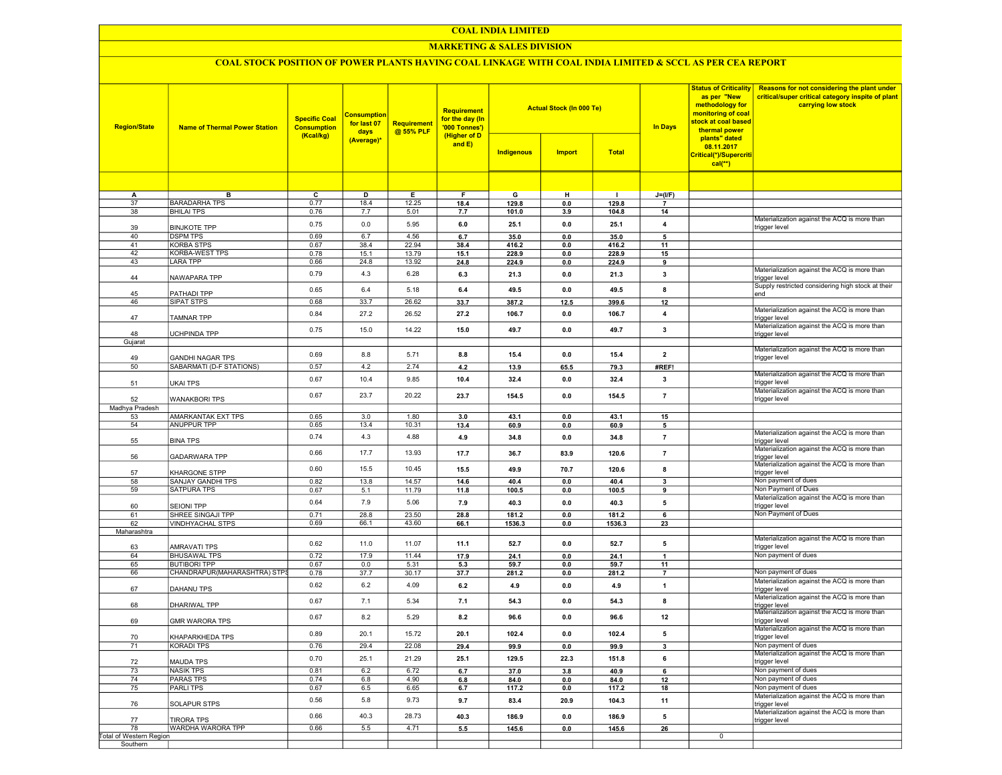## MARKETING & SALES DIVISION

# COAL STOCK POSITION OF POWER PLANTS HAVING COAL LINKAGE WITH COAL INDIA LIMITED & SCCL AS PER CEA REPORT

| <b>Region/State</b>           | <b>Name of Thermal Power Station</b> | <b>Specific Coal</b><br><b>Consumption</b><br>(Kcal/kg) | <b>Consumption</b><br>for last 07<br>days<br>(Average)* | Requirement<br>@ 55% PLF | <b>Requirement</b><br>for the day (In<br>'000 Tonnes')<br>(Higher of D<br>and $E$ ) | Indigenous     | <b>Actual Stock (In 000 Te)</b><br><b>Import</b> | <b>Total</b>   |                | <b>Status of Criticality</b><br>as per "New<br>methodology for<br>monitoring of coal<br>stock at coal based<br>thermal power<br>plants" dated<br>08.11.2017<br>Critical(*)/Supercriti<br>$cal(**)$ | Reasons for not considering the plant under<br>critical/super critical category inspite of plant<br>carrying low stock |
|-------------------------------|--------------------------------------|---------------------------------------------------------|---------------------------------------------------------|--------------------------|-------------------------------------------------------------------------------------|----------------|--------------------------------------------------|----------------|----------------|----------------------------------------------------------------------------------------------------------------------------------------------------------------------------------------------------|------------------------------------------------------------------------------------------------------------------------|
|                               |                                      |                                                         |                                                         |                          |                                                                                     |                |                                                  |                |                |                                                                                                                                                                                                    |                                                                                                                        |
| A                             | в                                    | c                                                       | D                                                       | Е                        | F.                                                                                  | G              | н                                                | L.             | $J=(I/F)$      |                                                                                                                                                                                                    |                                                                                                                        |
| 37                            | <b>BARADARHA TPS</b>                 | 0.77                                                    | 18.4                                                    | 12.25                    | 18.4                                                                                | 129.8          | 0.0                                              | 129.8          | $\overline{7}$ |                                                                                                                                                                                                    |                                                                                                                        |
| 38                            | <b>BHILAI TPS</b>                    | 0.76                                                    | 7.7                                                     | 5.01                     | 7.7                                                                                 | 101.0          | 3.9                                              | 104.8          | 14             |                                                                                                                                                                                                    |                                                                                                                        |
| 39                            | <b>BINJKOTE TPP</b>                  | 0.75                                                    | 0.0                                                     | 5.95                     | 6.0                                                                                 | 25.1           | 0.0                                              | 25.1           | 4              |                                                                                                                                                                                                    | Materialization against the ACQ is more than<br>trigger level                                                          |
| 40                            | <b>DSPM TPS</b>                      | 0.69                                                    | 6.7                                                     | 4.56                     | 6.7                                                                                 | 35.0           | 0.0                                              | 35.0           | 5              |                                                                                                                                                                                                    |                                                                                                                        |
| 41<br>42                      | <b>KORBA STPS</b><br>KORBA-WEST TPS  | 0.67<br>0.78                                            | 38.4<br>15.1                                            | 22.94<br>13.79           | 38.4<br>15.1                                                                        | 416.2<br>228.9 | 0.0<br>0.0                                       | 416.2<br>228.9 | 11<br>15       |                                                                                                                                                                                                    |                                                                                                                        |
| 43                            | <b>LARA TPP</b>                      | 0.66                                                    | 24.8                                                    | 13.92                    | 24.8                                                                                | 224.9          | 0.0                                              | 224.9          | 9              |                                                                                                                                                                                                    |                                                                                                                        |
| 44                            | NAWAPARA TPP                         | 0.79                                                    | 4.3                                                     | 6.28                     | 6.3                                                                                 | 21.3           | 0.0                                              | 21.3           | 3              |                                                                                                                                                                                                    | Materialization against the ACQ is more than<br>trigger level                                                          |
|                               |                                      | 0.65                                                    | 6.4                                                     | 5.18                     | 6.4                                                                                 | 49.5           | 0.0                                              | 49.5           | 8              |                                                                                                                                                                                                    | Supply restricted considering high stock at their                                                                      |
| 45<br>46                      | PATHADI TPP<br>SIPAT STPS            | 0.68                                                    | 33.7                                                    | 26.62                    | 33.7                                                                                | 387.2          | 12.5                                             | 399.6          | 12             |                                                                                                                                                                                                    | end                                                                                                                    |
| 47                            | TAMNAR TPP                           | 0.84                                                    | 27.2                                                    | 26.52                    | 27.2                                                                                | 106.7          | 0.0                                              | 106.7          | 4              |                                                                                                                                                                                                    | Materialization against the ACQ is more than<br>trigger level                                                          |
|                               |                                      | 0.75                                                    | 15.0                                                    | 14.22                    | 15.0                                                                                | 49.7           | 0.0                                              | 49.7           | $\mathbf{3}$   |                                                                                                                                                                                                    | Materialization against the ACQ is more than                                                                           |
| 48<br>Gujarat                 | UCHPINDA TPP                         |                                                         |                                                         |                          |                                                                                     |                |                                                  |                |                |                                                                                                                                                                                                    | trigger level                                                                                                          |
|                               |                                      |                                                         |                                                         |                          |                                                                                     |                |                                                  |                |                |                                                                                                                                                                                                    | Materialization against the ACQ is more than                                                                           |
| 49                            | <b>GANDHI NAGAR TPS</b>              | 0.69                                                    | 8.8                                                     | 5.71                     | 8.8                                                                                 | 15.4           | 0.0                                              | 15.4           | $\overline{2}$ |                                                                                                                                                                                                    | trigger level                                                                                                          |
| 50                            | SABARMATI (D-F STATIONS)             | 0.57                                                    | 4.2                                                     | 2.74                     | 4.2                                                                                 | 13.9           | 65.5                                             | 79.3           | #REF!          |                                                                                                                                                                                                    |                                                                                                                        |
| 51                            | UKAI TPS                             | 0.67                                                    | 10.4                                                    | 9.85                     | 10.4                                                                                | 32.4           | 0.0                                              | 32.4           | 3              |                                                                                                                                                                                                    | Materialization against the ACQ is more than<br>trigger level                                                          |
| 52                            | WANAKBORI TPS                        | 0.67                                                    | 23.7                                                    | 20.22                    | 23.7                                                                                | 154.5          | 0.0                                              | 154.5          | $\overline{7}$ |                                                                                                                                                                                                    | Materialization against the ACQ is more than<br>trigger level                                                          |
| Madhya Pradesh                |                                      |                                                         |                                                         |                          |                                                                                     |                |                                                  |                |                |                                                                                                                                                                                                    |                                                                                                                        |
| 53<br>54                      | AMARKANTAK EXT TPS<br>ANUPPUR TPP    | 0.65<br>0.65                                            | 3.0<br>13.4                                             | 1.80<br>10.31            | 3.0<br>13.4                                                                         | 43.1<br>60.9   | 0.0<br>0.0                                       | 43.1<br>60.9   | 15<br>5        |                                                                                                                                                                                                    |                                                                                                                        |
|                               |                                      |                                                         |                                                         |                          |                                                                                     |                |                                                  |                |                |                                                                                                                                                                                                    | Materialization against the ACQ is more than                                                                           |
| 55                            | <b>BINA TPS</b>                      | 0.74                                                    | 4.3                                                     | 4.88                     | 4.9                                                                                 | 34.8           | 0.0                                              | 34.8           | $\overline{7}$ |                                                                                                                                                                                                    | trigger level<br>Materialization against the ACQ is more than                                                          |
| 56                            | GADARWARA TPP                        | 0.66                                                    | 17.7                                                    | 13.93                    | 17.7                                                                                | 36.7           | 83.9                                             | 120.6          | $\overline{7}$ |                                                                                                                                                                                                    | trigger level<br>Materialization against the ACQ is more than                                                          |
| 57                            | KHARGONE STPP                        | 0.60                                                    | 15.5                                                    | 10.45                    | 15.5                                                                                | 49.9           | 70.7                                             | 120.6          | 8              |                                                                                                                                                                                                    | trigger level                                                                                                          |
| 58                            | SANJAY GANDHI TPS                    | 0.82                                                    | 13.8                                                    | 14.57                    | 14.6                                                                                | 40.4           | 0.0                                              | 40.4           | 3              |                                                                                                                                                                                                    | Non payment of dues                                                                                                    |
| 59                            | <b>SATPURA TPS</b>                   | 0.67                                                    | 5.1                                                     | 11.79                    | 11.8                                                                                | 100.5          | 0.0                                              | 100.5          | 9              |                                                                                                                                                                                                    | Non Payment of Dues                                                                                                    |
| 60                            | <b>SEIONI TPP</b>                    | 0.64                                                    | 7.9                                                     | 5.06                     | 7.9                                                                                 | 40.3           | 0.0                                              | 40.3           | 5              |                                                                                                                                                                                                    | Materialization against the ACQ is more than<br>trigger level                                                          |
| 61                            | SHREE SINGAJI TPP                    | 0.71                                                    | 28.8                                                    | 23.50                    | 28.8                                                                                | 181.2          | 0.0                                              | 181.2          | 6              |                                                                                                                                                                                                    | Non Payment of Dues                                                                                                    |
| 62                            | VINDHYACHAL STPS                     | 0.69                                                    | 66.1                                                    | 43.60                    | 66.1                                                                                | 1536.3         | 0.0                                              | 1536.3         | 23             |                                                                                                                                                                                                    |                                                                                                                        |
| Maharashtra                   |                                      |                                                         |                                                         |                          |                                                                                     |                |                                                  |                |                |                                                                                                                                                                                                    |                                                                                                                        |
| 63                            | AMRAVATI TPS                         | 0.62                                                    | 11.0                                                    | 11.07                    | 11.1                                                                                | 52.7           | 0.0                                              | 52.7           | 5              |                                                                                                                                                                                                    | Materialization against the ACQ is more than<br>trigger level                                                          |
| 64                            | <b>BHUSAWAL TPS</b>                  | 0.72                                                    | 17.9                                                    | 11.44                    | 17.9                                                                                | 24.1           | 0.0                                              | 24.1           | $\mathbf{1}$   |                                                                                                                                                                                                    | Non payment of dues                                                                                                    |
| 65                            | <b>BUTIBORI TPP</b>                  | 0.67                                                    | 0.0                                                     | 5.31                     | 5.3                                                                                 | 59.7           | 0.0                                              | 59.7           | 11             |                                                                                                                                                                                                    |                                                                                                                        |
| 66                            | CHANDRAPUR(MAHARASHTRA) STPS         | 0.78                                                    | 37.7                                                    | 30.17                    | 37.7                                                                                | 281.2          | 0.0                                              | 281.2          | 7              |                                                                                                                                                                                                    | Non payment of dues                                                                                                    |
| 67                            | DAHANU TPS                           | 0.62                                                    | 6.2                                                     | 4.09                     | 6.2                                                                                 | 4.9            | 0.0                                              | 4.9            | 1              |                                                                                                                                                                                                    | Materialization against the ACQ is more than<br>trigger level                                                          |
| 68                            | DHARIWAL TPP                         | 0.67                                                    | 7.1                                                     | 5.34                     | 7.1                                                                                 | 54.3           | 0.0                                              | 54.3           | 8              |                                                                                                                                                                                                    | Materialization against the ACQ is more than<br>trigger level                                                          |
| 69                            | <b>GMR WARORA TPS</b>                | 0.67                                                    | 8.2                                                     | 5.29                     | 8.2                                                                                 | 96.6           | 0.0                                              | 96.6           | 12             |                                                                                                                                                                                                    | Materialization against the ACQ is more than<br>trigger level                                                          |
| 70                            | KHAPARKHEDA TPS                      | 0.89                                                    | 20.1                                                    | 15.72                    | 20.1                                                                                | 102.4          | 0.0                                              | 102.4          | 5              |                                                                                                                                                                                                    | Materialization against the ACQ is more than<br>trigger level                                                          |
| 71                            | <b>KORADI TPS</b>                    | 0.76                                                    | 29.4                                                    | 22.08                    | 29.4                                                                                | 99.9           | 0.0                                              | 99.9           | 3              |                                                                                                                                                                                                    | Non payment of dues                                                                                                    |
| 72                            | MAUDA TPS                            | 0.70                                                    | 25.1                                                    | 21.29                    | 25.1                                                                                | 129.5          | 22.3                                             | 151.8          | 6              |                                                                                                                                                                                                    | Materialization against the ACQ is more than<br>trigger level                                                          |
| 73                            | <b>NASIK TPS</b>                     | 0.81                                                    | 6.2                                                     | 6.72                     | 6.7                                                                                 | 37.0           | 3.8                                              | 40.9           | 6              |                                                                                                                                                                                                    | Non payment of dues<br>Non payment of dues                                                                             |
| 74<br>75                      | <b>PARAS TPS</b><br><b>PARLITPS</b>  | 0.74<br>0.67                                            | 6.8<br>6.5                                              | 4.90<br>6.65             | 6.8                                                                                 | 84.0           | 0.0                                              | 84.0           | 12             |                                                                                                                                                                                                    | Non payment of dues                                                                                                    |
|                               |                                      |                                                         |                                                         |                          | 6.7                                                                                 | 117.2          | 0.0                                              | 117.2          | 18             |                                                                                                                                                                                                    | Materialization against the ACQ is more than                                                                           |
| 76                            | SOLAPUR STPS                         | 0.56                                                    | 5.8                                                     | 9.73                     | 9.7                                                                                 | 83.4           | 20.9                                             | 104.3          | 11             |                                                                                                                                                                                                    | trigger level<br>Materialization against the ACQ is more than                                                          |
| 77                            | <b>TIRORA TPS</b>                    | 0.66                                                    | 40.3                                                    | 28.73                    | 40.3                                                                                | 186.9          | 0.0                                              | 186.9          | 5              |                                                                                                                                                                                                    | trigger level                                                                                                          |
| 78<br>Total of Western Region | WARDHA WARORA TPP                    | 0.66                                                    | 5.5                                                     | 4.71                     | 5.5                                                                                 | 145.6          | 0.0                                              | 145.6          | 26             | $\mathbf 0$                                                                                                                                                                                        |                                                                                                                        |
| Southern                      |                                      |                                                         |                                                         |                          |                                                                                     |                |                                                  |                |                |                                                                                                                                                                                                    |                                                                                                                        |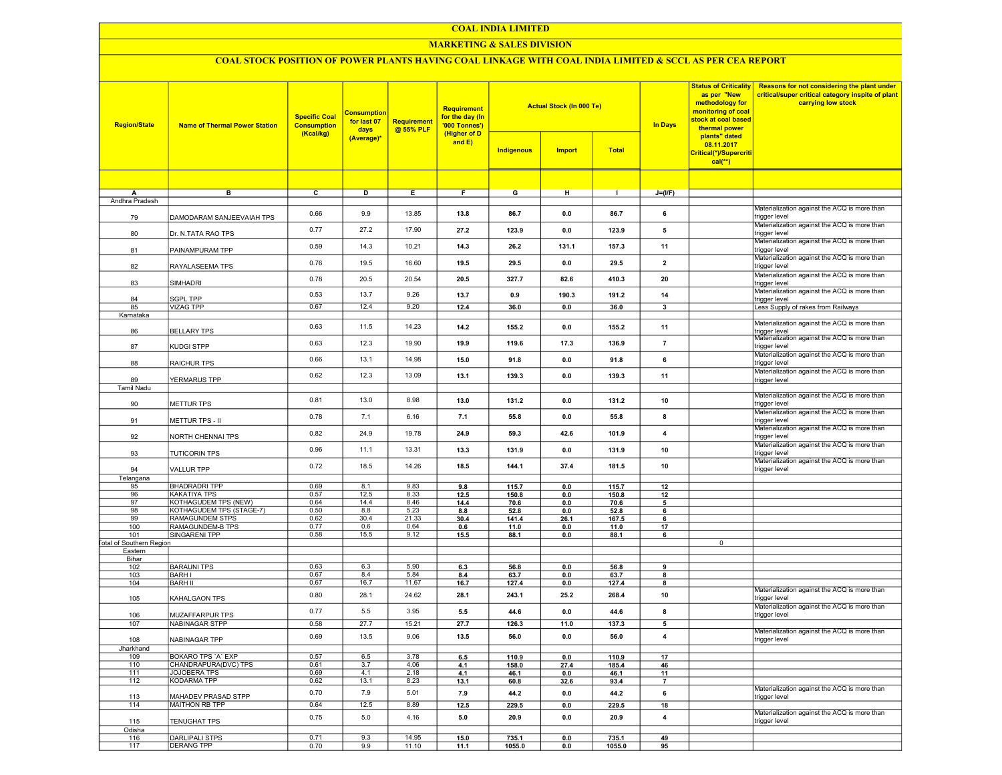## MARKETING & SALES DIVISION

# COAL STOCK POSITION OF POWER PLANTS HAVING COAL LINKAGE WITH COAL INDIA LIMITED & SCCL AS PER CEA REPORT

| <b>Region/State</b>      | <b>Name of Thermal Power Station</b> | <b>Specific Coal</b><br><b>Consumption</b><br>(Kcal/kg) | <b>Consumption</b><br>for last 07<br>days<br>(Average)* | Requirement<br>@ 55% PLF | Requirement<br>for the day (In<br>'000 Tonnes')<br>(Higher of D<br>and E) | <b>Actual Stock (In 000 Te)</b><br><b>Indigenous</b><br><b>Import</b><br><b>Total</b> |             | <b>In Days</b>  | <b>Status of Criticality</b><br>as per "New<br>methodology for<br>monitoring of coal<br>stock at coal based<br>thermal power<br>plants" dated<br>08.11.2017<br>Critical(*)/Supercriti<br>$cal**$ | Reasons for not considering the plant under<br>critical/super critical category inspite of plant<br>carrying low stock |                                                               |
|--------------------------|--------------------------------------|---------------------------------------------------------|---------------------------------------------------------|--------------------------|---------------------------------------------------------------------------|---------------------------------------------------------------------------------------|-------------|-----------------|--------------------------------------------------------------------------------------------------------------------------------------------------------------------------------------------------|------------------------------------------------------------------------------------------------------------------------|---------------------------------------------------------------|
|                          |                                      |                                                         |                                                         |                          |                                                                           |                                                                                       |             |                 |                                                                                                                                                                                                  |                                                                                                                        |                                                               |
| А                        | в                                    | C                                                       | D                                                       | Е.                       | F.                                                                        | G                                                                                     | н           |                 | $J=(I/F)$                                                                                                                                                                                        |                                                                                                                        |                                                               |
| Andhra Pradesh           |                                      |                                                         |                                                         |                          |                                                                           |                                                                                       |             |                 |                                                                                                                                                                                                  |                                                                                                                        |                                                               |
| 79                       | DAMODARAM SANJEEVAIAH TPS            | 0.66                                                    | 9.9                                                     | 13.85                    | 13.8                                                                      | 86.7                                                                                  | 0.0         | 86.7            | 6                                                                                                                                                                                                |                                                                                                                        | Materialization against the ACQ is more than<br>trigger level |
| 80                       | Dr. N.TATA RAO TPS                   | 0.77                                                    | 27.2                                                    | 17.90                    | 27.2                                                                      | 123.9                                                                                 | 0.0         | 123.9           | 5                                                                                                                                                                                                |                                                                                                                        | Materialization against the ACQ is more than<br>trigger level |
| 81                       | PAINAMPURAM TPP                      | 0.59                                                    | 14.3                                                    | 10.21                    | 14.3                                                                      | 26.2                                                                                  | 131.1       | 157.3           | 11                                                                                                                                                                                               |                                                                                                                        | Materialization against the ACQ is more than<br>trigger level |
| 82                       | RAYALASEEMA TPS                      | 0.76                                                    | 19.5                                                    | 16.60                    | 19.5                                                                      | 29.5                                                                                  | 0.0         | 29.5            | $\overline{\mathbf{z}}$                                                                                                                                                                          |                                                                                                                        | Materialization against the ACQ is more than<br>trigger level |
| 83                       | SIMHADRI                             | 0.78                                                    | 20.5                                                    | 20.54                    | 20.5                                                                      | 327.7                                                                                 | 82.6        | 410.3           | 20                                                                                                                                                                                               |                                                                                                                        | Materialization against the ACQ is more than<br>trigger level |
| 84                       | SGPL TPP                             | 0.53                                                    | 13.7                                                    | 9.26                     | 13.7                                                                      | 0.9                                                                                   | 190.3       | 191.2           | 14                                                                                                                                                                                               |                                                                                                                        | Materialization against the ACQ is more than<br>trigger level |
| 85                       | <b>VIZAG TPP</b>                     | 0.67                                                    | 12.4                                                    | 9.20                     | 12.4                                                                      | 36.0                                                                                  | 0.0         | 36.0            | 3                                                                                                                                                                                                |                                                                                                                        | Less Supply of rakes from Railways                            |
| Karnataka                |                                      |                                                         |                                                         |                          |                                                                           |                                                                                       |             |                 |                                                                                                                                                                                                  |                                                                                                                        |                                                               |
| 86                       | <b>BELLARY TPS</b>                   | 0.63                                                    | 11.5                                                    | 14.23                    | 14.2                                                                      | 155.2                                                                                 | 0.0         | 155.2           | 11                                                                                                                                                                                               |                                                                                                                        | Materialization against the ACQ is more than<br>trigger level |
| 87                       | KUDGI STPP                           | 0.63                                                    | 12.3                                                    | 19.90                    | 19.9                                                                      | 119.6                                                                                 | 17.3        | 136.9           | $\overline{7}$                                                                                                                                                                                   |                                                                                                                        | Materialization against the ACQ is more than<br>trigger level |
| 88                       | RAICHUR TPS                          | 0.66                                                    | 13.1                                                    | 14.98                    | 15.0                                                                      | 91.8                                                                                  | 0.0         | 91.8            | 6                                                                                                                                                                                                |                                                                                                                        | Materialization against the ACQ is more than<br>trigger level |
| 89                       | YERMARUS TPP                         | 0.62                                                    | 12.3                                                    | 13.09                    | 13.1                                                                      | 139.3                                                                                 | 0.0         | 139.3           | 11                                                                                                                                                                                               |                                                                                                                        | Materialization against the ACQ is more than<br>trigger level |
| <b>Tamil Nadu</b>        |                                      |                                                         |                                                         |                          |                                                                           |                                                                                       |             |                 |                                                                                                                                                                                                  |                                                                                                                        |                                                               |
| 90                       | <b>METTUR TPS</b>                    | 0.81                                                    | 13.0                                                    | 8.98                     | 13.0                                                                      | 131.2                                                                                 | 0.0         | 131.2           | 10                                                                                                                                                                                               |                                                                                                                        | Materialization against the ACQ is more than<br>trigger level |
| 91                       | METTUR TPS - II                      | 0.78                                                    | 7.1                                                     | 6.16                     | 7.1                                                                       | 55.8                                                                                  | 0.0         | 55.8            | 8                                                                                                                                                                                                |                                                                                                                        | Materialization against the ACQ is more than<br>trigger level |
| 92                       | NORTH CHENNAI TPS                    | 0.82                                                    | 24.9                                                    | 19.78                    | 24.9                                                                      | 59.3                                                                                  | 42.6        | 101.9           | $\pmb{4}$                                                                                                                                                                                        |                                                                                                                        | Materialization against the ACQ is more than<br>trigger level |
| 93                       | <b>TUTICORIN TPS</b>                 | 0.96                                                    | 11.1                                                    | 13.31                    | 13.3                                                                      | 131.9                                                                                 | 0.0         | 131.9           | 10                                                                                                                                                                                               |                                                                                                                        | Materialization against the ACQ is more than<br>trigger level |
| 94                       | VALLUR TPP                           | 0.72                                                    | 18.5                                                    | 14.26                    | 18.5                                                                      | 144.1                                                                                 | 37.4        | 181.5           | 10                                                                                                                                                                                               |                                                                                                                        | Materialization against the ACQ is more than<br>trigger level |
| Telangana                |                                      |                                                         |                                                         |                          |                                                                           |                                                                                       |             |                 |                                                                                                                                                                                                  |                                                                                                                        |                                                               |
| 95                       | <b>BHADRADRI TPP</b>                 | 0.69                                                    | 8.1                                                     | 9.83                     | 9.8                                                                       | 115.7                                                                                 | 0.0         | 115.7           | 12                                                                                                                                                                                               |                                                                                                                        |                                                               |
| 96                       | <b>KAKATIYA TPS</b>                  | 0.57                                                    | 12.5                                                    | 8.33                     | 12.5                                                                      | 150.8                                                                                 | 0.0         | 150.8           | 12                                                                                                                                                                                               |                                                                                                                        |                                                               |
| 97                       | KOTHAGUDEM TPS (NEW)                 | 0.64                                                    | 14.4                                                    | 8.46                     | 14.4                                                                      | 70.6                                                                                  | 0.0         | 70.6            | 5                                                                                                                                                                                                |                                                                                                                        |                                                               |
| 98                       | KOTHAGUDEM TPS (STAGE-7)             | 0.50                                                    | 8.8                                                     | 5.23                     | 8.8                                                                       | 52.8                                                                                  | 0.0         | 52.8            | 6                                                                                                                                                                                                |                                                                                                                        |                                                               |
| 99                       | RAMAGUNDEM STPS                      | 0.62                                                    | 30.4                                                    | 21.33                    | 30.4                                                                      | 141.4                                                                                 | 26.1        | 167.5           | 6                                                                                                                                                                                                |                                                                                                                        |                                                               |
| 100                      | <b>RAMAGUNDEM-B TPS</b>              | 0.77                                                    | 0.6                                                     | 0.64                     | 0.6                                                                       | 11.0                                                                                  | 0.0         | 11.0            | 17                                                                                                                                                                                               |                                                                                                                        |                                                               |
| 101                      | SINGARENI TPP                        | 0.58                                                    | 15.5                                                    | 9.12                     | 15.5                                                                      | 88.1                                                                                  | 0.0         | 88.1            | 6                                                                                                                                                                                                |                                                                                                                        |                                                               |
| Total of Southern Region |                                      |                                                         |                                                         |                          |                                                                           |                                                                                       |             |                 |                                                                                                                                                                                                  | $\mathbf 0$                                                                                                            |                                                               |
| Eastern                  |                                      |                                                         |                                                         |                          |                                                                           |                                                                                       |             |                 |                                                                                                                                                                                                  |                                                                                                                        |                                                               |
| Bihar                    |                                      |                                                         |                                                         |                          |                                                                           |                                                                                       |             |                 |                                                                                                                                                                                                  |                                                                                                                        |                                                               |
| 102                      | <b>BARAUNI TPS</b><br><b>BARHI</b>   | 0.63<br>0.67                                            | 6.3<br>8.4                                              | 5.90<br>5.84             | 6.3                                                                       | 56.8                                                                                  | 0.0         | 56.8            | 9                                                                                                                                                                                                |                                                                                                                        |                                                               |
| 103<br>104               | <b>BARH II</b>                       | 0.67                                                    | 16.7                                                    | 11.67                    | 8.4                                                                       | 63.7                                                                                  | 0.0         | 63.7            | 8                                                                                                                                                                                                |                                                                                                                        |                                                               |
|                          | KAHALGAON TPS                        | 0.80                                                    | 28.1                                                    | 24.62                    | 16.7<br>28.1                                                              | 127.4<br>243.1                                                                        | 0.0<br>25.2 | 127.4<br>268.4  | 8<br>10                                                                                                                                                                                          |                                                                                                                        | Materialization against the ACQ is more than<br>trigger level |
| 105                      |                                      | 0.77                                                    | 5.5                                                     | 3.95                     | $5.5\,$                                                                   | 44.6                                                                                  | 0.0         | 44.6            | 8                                                                                                                                                                                                |                                                                                                                        | Materialization against the ACQ is more than                  |
| 106<br>107               | MUZAFFARPUR TPS<br>NABINAGAR STPP    | 0.58                                                    | 27.7                                                    | 15.21                    | 27.7                                                                      | 126.3                                                                                 | 11.0        | 137.3           | 5                                                                                                                                                                                                |                                                                                                                        | trigger level                                                 |
| 108                      | NABINAGAR TPP                        | 0.69                                                    | 13.5                                                    | 9.06                     | 13.5                                                                      | 56.0                                                                                  | 0.0         | 56.0            | $\overline{\mathbf{4}}$                                                                                                                                                                          |                                                                                                                        | Materialization against the ACQ is more than<br>trigger level |
| Jharkhand                |                                      |                                                         |                                                         |                          |                                                                           |                                                                                       |             |                 |                                                                                                                                                                                                  |                                                                                                                        |                                                               |
| 109                      | BOKARO TPS 'A' EXP                   | 0.57                                                    | 6.5                                                     | 3.78                     | 6.5                                                                       | 110.9                                                                                 | 0.0         | 110.9           | 17                                                                                                                                                                                               |                                                                                                                        |                                                               |
| 110                      | CHANDRAPURA(DVC) TPS                 | 0.61                                                    | 3.7                                                     | 4.06                     | 4.1                                                                       | 158.0                                                                                 | 27.4        | 185.4           | 46                                                                                                                                                                                               |                                                                                                                        |                                                               |
| 111                      | JOJOBERA TPS                         | 0.69                                                    | 4.1                                                     | 2.18                     | 4.1                                                                       | 46.1                                                                                  | 0.0         | 46.1            | 11                                                                                                                                                                                               |                                                                                                                        |                                                               |
| 112                      | <b>KODARMA TPP</b>                   | 0.62                                                    | 13.1                                                    | 8.23                     | 13.1                                                                      | 60.8                                                                                  | 32.6        | 93.4            | $\overline{7}$                                                                                                                                                                                   |                                                                                                                        |                                                               |
| 113                      | MAHADEV PRASAD STPP                  | 0.70                                                    | 7.9                                                     | 5.01                     | 7.9                                                                       | 44.2                                                                                  | 0.0         | 44.2            | 6                                                                                                                                                                                                |                                                                                                                        | Materialization against the ACQ is more than<br>trigger level |
| 114                      | <b>MAITHON RB TPP</b>                | 0.64                                                    | 12.5                                                    | 8.89                     | 12.5                                                                      | 229.5                                                                                 | 0.0         | 229.5           | 18                                                                                                                                                                                               |                                                                                                                        |                                                               |
| 115                      | <b>TENUGHAT TPS</b>                  | 0.75                                                    | 5.0                                                     | 4.16                     | 5.0                                                                       | 20.9                                                                                  | 0.0         | 20.9            | $\overline{\mathbf{4}}$                                                                                                                                                                          |                                                                                                                        | Materialization against the ACQ is more than<br>trigger level |
| Odisha<br>116            | <b>DARLIPALI STPS</b>                | 0.71                                                    | 9.3                                                     | 14.95                    |                                                                           |                                                                                       |             |                 | 49                                                                                                                                                                                               |                                                                                                                        |                                                               |
| 117                      | DERANG TPP                           | 0.70                                                    | 9.9                                                     | 11.10                    | 15.0<br>11.1                                                              | 735.1<br>1055.0                                                                       | 0.0<br>0.0  | 735.1<br>1055.0 | 95                                                                                                                                                                                               |                                                                                                                        |                                                               |
|                          |                                      |                                                         |                                                         |                          |                                                                           |                                                                                       |             |                 |                                                                                                                                                                                                  |                                                                                                                        |                                                               |